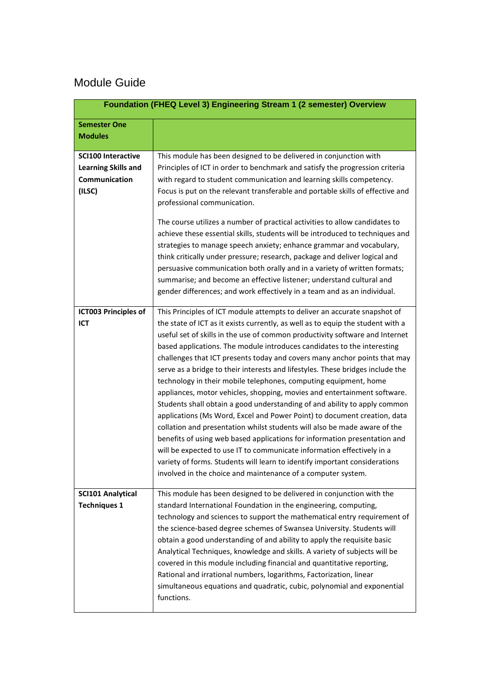## Module Guide

|                                                       | Foundation (FHEQ Level 3) Engineering Stream 1 (2 semester) Overview                                                                                                                                                                                                                                                                                                                                                                                                                                                                                                                                                                                                                                                                                                                                                                                                                                                                                                                                                                                                                                                                                                              |
|-------------------------------------------------------|-----------------------------------------------------------------------------------------------------------------------------------------------------------------------------------------------------------------------------------------------------------------------------------------------------------------------------------------------------------------------------------------------------------------------------------------------------------------------------------------------------------------------------------------------------------------------------------------------------------------------------------------------------------------------------------------------------------------------------------------------------------------------------------------------------------------------------------------------------------------------------------------------------------------------------------------------------------------------------------------------------------------------------------------------------------------------------------------------------------------------------------------------------------------------------------|
| <b>Semester One</b><br><b>Modules</b>                 |                                                                                                                                                                                                                                                                                                                                                                                                                                                                                                                                                                                                                                                                                                                                                                                                                                                                                                                                                                                                                                                                                                                                                                                   |
| <b>SCI100 Interactive</b>                             | This module has been designed to be delivered in conjunction with                                                                                                                                                                                                                                                                                                                                                                                                                                                                                                                                                                                                                                                                                                                                                                                                                                                                                                                                                                                                                                                                                                                 |
| <b>Learning Skills and</b><br>Communication<br>(ILSC) | Principles of ICT in order to benchmark and satisfy the progression criteria<br>with regard to student communication and learning skills competency.<br>Focus is put on the relevant transferable and portable skills of effective and<br>professional communication.                                                                                                                                                                                                                                                                                                                                                                                                                                                                                                                                                                                                                                                                                                                                                                                                                                                                                                             |
|                                                       | The course utilizes a number of practical activities to allow candidates to<br>achieve these essential skills, students will be introduced to techniques and<br>strategies to manage speech anxiety; enhance grammar and vocabulary,<br>think critically under pressure; research, package and deliver logical and<br>persuasive communication both orally and in a variety of written formats;<br>summarise; and become an effective listener; understand cultural and<br>gender differences; and work effectively in a team and as an individual.                                                                                                                                                                                                                                                                                                                                                                                                                                                                                                                                                                                                                               |
| <b>ICT003 Principles of</b><br>ICT                    | This Principles of ICT module attempts to deliver an accurate snapshot of<br>the state of ICT as it exists currently, as well as to equip the student with a<br>useful set of skills in the use of common productivity software and Internet<br>based applications. The module introduces candidates to the interesting<br>challenges that ICT presents today and covers many anchor points that may<br>serve as a bridge to their interests and lifestyles. These bridges include the<br>technology in their mobile telephones, computing equipment, home<br>appliances, motor vehicles, shopping, movies and entertainment software.<br>Students shall obtain a good understanding of and ability to apply common<br>applications (Ms Word, Excel and Power Point) to document creation, data<br>collation and presentation whilst students will also be made aware of the<br>benefits of using web based applications for information presentation and<br>will be expected to use IT to communicate information effectively in a<br>variety of forms. Students will learn to identify important considerations<br>involved in the choice and maintenance of a computer system. |
| <b>SCI101 Analytical</b><br><b>Techniques 1</b>       | This module has been designed to be delivered in conjunction with the<br>standard International Foundation in the engineering, computing,<br>technology and sciences to support the mathematical entry requirement of<br>the science-based degree schemes of Swansea University. Students will<br>obtain a good understanding of and ability to apply the requisite basic<br>Analytical Techniques, knowledge and skills. A variety of subjects will be<br>covered in this module including financial and quantitative reporting,<br>Rational and irrational numbers, logarithms, Factorization, linear<br>simultaneous equations and quadratic, cubic, polynomial and exponential<br>functions.                                                                                                                                                                                                                                                                                                                                                                                                                                                                                  |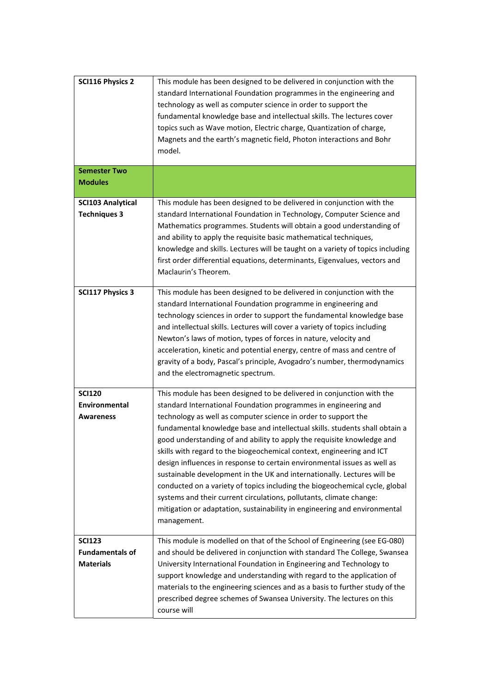| <b>SCI116 Physics 2</b>                                     | This module has been designed to be delivered in conjunction with the<br>standard International Foundation programmes in the engineering and<br>technology as well as computer science in order to support the<br>fundamental knowledge base and intellectual skills. The lectures cover<br>topics such as Wave motion, Electric charge, Quantization of charge,<br>Magnets and the earth's magnetic field, Photon interactions and Bohr<br>model.                                                                                                                                                                                                                                                                                                                                                                                                    |
|-------------------------------------------------------------|-------------------------------------------------------------------------------------------------------------------------------------------------------------------------------------------------------------------------------------------------------------------------------------------------------------------------------------------------------------------------------------------------------------------------------------------------------------------------------------------------------------------------------------------------------------------------------------------------------------------------------------------------------------------------------------------------------------------------------------------------------------------------------------------------------------------------------------------------------|
| <b>Semester Two</b><br><b>Modules</b>                       |                                                                                                                                                                                                                                                                                                                                                                                                                                                                                                                                                                                                                                                                                                                                                                                                                                                       |
| <b>SCI103 Analytical</b><br><b>Techniques 3</b>             | This module has been designed to be delivered in conjunction with the<br>standard International Foundation in Technology, Computer Science and<br>Mathematics programmes. Students will obtain a good understanding of<br>and ability to apply the requisite basic mathematical techniques,<br>knowledge and skills. Lectures will be taught on a variety of topics including<br>first order differential equations, determinants, Eigenvalues, vectors and<br>Maclaurin's Theorem.                                                                                                                                                                                                                                                                                                                                                                   |
| <b>SCI117 Physics 3</b>                                     | This module has been designed to be delivered in conjunction with the<br>standard International Foundation programme in engineering and<br>technology sciences in order to support the fundamental knowledge base<br>and intellectual skills. Lectures will cover a variety of topics including<br>Newton's laws of motion, types of forces in nature, velocity and<br>acceleration, kinetic and potential energy, centre of mass and centre of<br>gravity of a body, Pascal's principle, Avogadro's number, thermodynamics<br>and the electromagnetic spectrum.                                                                                                                                                                                                                                                                                      |
| <b>SCI120</b><br>Environmental<br><b>Awareness</b>          | This module has been designed to be delivered in conjunction with the<br>standard International Foundation programmes in engineering and<br>technology as well as computer science in order to support the<br>fundamental knowledge base and intellectual skills. students shall obtain a<br>good understanding of and ability to apply the requisite knowledge and<br>skills with regard to the biogeochemical context, engineering and ICT<br>design influences in response to certain environmental issues as well as<br>sustainable development in the UK and internationally. Lectures will be<br>conducted on a variety of topics including the biogeochemical cycle, global<br>systems and their current circulations, pollutants, climate change:<br>mitigation or adaptation, sustainability in engineering and environmental<br>management. |
| <b>SCI123</b><br><b>Fundamentals of</b><br><b>Materials</b> | This module is modelled on that of the School of Engineering (see EG-080)<br>and should be delivered in conjunction with standard The College, Swansea<br>University International Foundation in Engineering and Technology to<br>support knowledge and understanding with regard to the application of<br>materials to the engineering sciences and as a basis to further study of the<br>prescribed degree schemes of Swansea University. The lectures on this<br>course will                                                                                                                                                                                                                                                                                                                                                                       |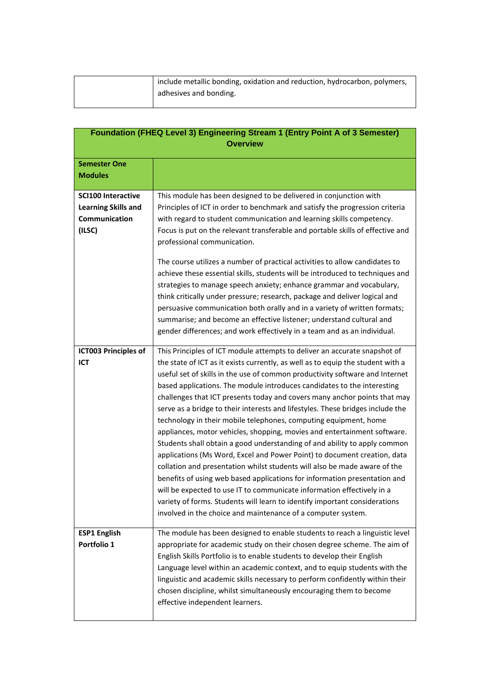| include metallic bonding, oxidation and reduction, hydrocarbon, polymers, |
|---------------------------------------------------------------------------|
| adhesives and bonding.                                                    |
|                                                                           |

|                                                                                           | <b>Foundation (FHEQ Level 3) Engineering Stream 1 (Entry Point A of 3 Semester)</b><br><b>Overview</b>                                                                                                                                                                                                                                                                                                                                                                                                                                                                                                                                                                                                                                                                                                                                                                                                                                                                                                                                                                                                                                                                            |
|-------------------------------------------------------------------------------------------|-----------------------------------------------------------------------------------------------------------------------------------------------------------------------------------------------------------------------------------------------------------------------------------------------------------------------------------------------------------------------------------------------------------------------------------------------------------------------------------------------------------------------------------------------------------------------------------------------------------------------------------------------------------------------------------------------------------------------------------------------------------------------------------------------------------------------------------------------------------------------------------------------------------------------------------------------------------------------------------------------------------------------------------------------------------------------------------------------------------------------------------------------------------------------------------|
| <b>Semester One</b><br><b>Modules</b>                                                     |                                                                                                                                                                                                                                                                                                                                                                                                                                                                                                                                                                                                                                                                                                                                                                                                                                                                                                                                                                                                                                                                                                                                                                                   |
| <b>SCI100 Interactive</b><br><b>Learning Skills and</b><br><b>Communication</b><br>(ILSC) | This module has been designed to be delivered in conjunction with<br>Principles of ICT in order to benchmark and satisfy the progression criteria<br>with regard to student communication and learning skills competency.<br>Focus is put on the relevant transferable and portable skills of effective and<br>professional communication.<br>The course utilizes a number of practical activities to allow candidates to<br>achieve these essential skills, students will be introduced to techniques and<br>strategies to manage speech anxiety; enhance grammar and vocabulary,<br>think critically under pressure; research, package and deliver logical and<br>persuasive communication both orally and in a variety of written formats;<br>summarise; and become an effective listener; understand cultural and<br>gender differences; and work effectively in a team and as an individual.                                                                                                                                                                                                                                                                                 |
| <b>ICT003 Principles of</b><br>ICT                                                        | This Principles of ICT module attempts to deliver an accurate snapshot of<br>the state of ICT as it exists currently, as well as to equip the student with a<br>useful set of skills in the use of common productivity software and Internet<br>based applications. The module introduces candidates to the interesting<br>challenges that ICT presents today and covers many anchor points that may<br>serve as a bridge to their interests and lifestyles. These bridges include the<br>technology in their mobile telephones, computing equipment, home<br>appliances, motor vehicles, shopping, movies and entertainment software.<br>Students shall obtain a good understanding of and ability to apply common<br>applications (Ms Word, Excel and Power Point) to document creation, data<br>collation and presentation whilst students will also be made aware of the<br>benefits of using web based applications for information presentation and<br>will be expected to use IT to communicate information effectively in a<br>variety of forms. Students will learn to identify important considerations<br>involved in the choice and maintenance of a computer system. |
| <b>ESP1 English</b><br>Portfolio 1                                                        | The module has been designed to enable students to reach a linguistic level<br>appropriate for academic study on their chosen degree scheme. The aim of<br>English Skills Portfolio is to enable students to develop their English<br>Language level within an academic context, and to equip students with the<br>linguistic and academic skills necessary to perform confidently within their<br>chosen discipline, whilst simultaneously encouraging them to become<br>effective independent learners.                                                                                                                                                                                                                                                                                                                                                                                                                                                                                                                                                                                                                                                                         |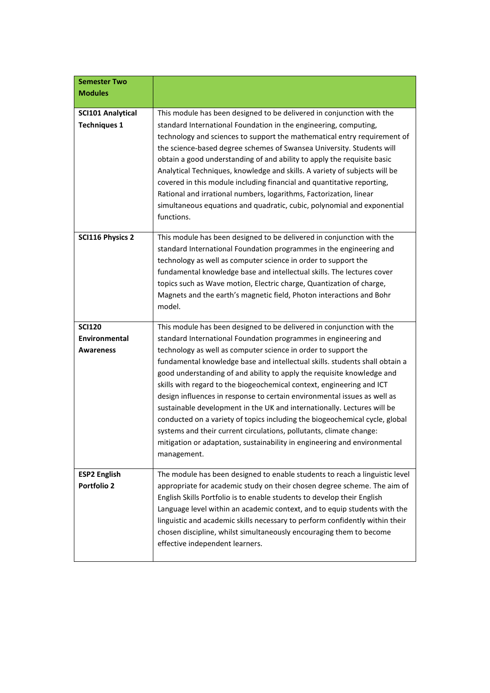| <b>Semester Two</b><br><b>Modules</b>              |                                                                                                                                                                                                                                                                                                                                                                                                                                                                                                                                                                                                                                                                                                                                                                                                                                                       |
|----------------------------------------------------|-------------------------------------------------------------------------------------------------------------------------------------------------------------------------------------------------------------------------------------------------------------------------------------------------------------------------------------------------------------------------------------------------------------------------------------------------------------------------------------------------------------------------------------------------------------------------------------------------------------------------------------------------------------------------------------------------------------------------------------------------------------------------------------------------------------------------------------------------------|
| <b>SCI101 Analytical</b><br><b>Techniques 1</b>    | This module has been designed to be delivered in conjunction with the<br>standard International Foundation in the engineering, computing,<br>technology and sciences to support the mathematical entry requirement of<br>the science-based degree schemes of Swansea University. Students will<br>obtain a good understanding of and ability to apply the requisite basic<br>Analytical Techniques, knowledge and skills. A variety of subjects will be<br>covered in this module including financial and quantitative reporting,<br>Rational and irrational numbers, logarithms, Factorization, linear<br>simultaneous equations and quadratic, cubic, polynomial and exponential<br>functions.                                                                                                                                                      |
| <b>SCI116 Physics 2</b>                            | This module has been designed to be delivered in conjunction with the<br>standard International Foundation programmes in the engineering and<br>technology as well as computer science in order to support the<br>fundamental knowledge base and intellectual skills. The lectures cover<br>topics such as Wave motion, Electric charge, Quantization of charge,<br>Magnets and the earth's magnetic field, Photon interactions and Bohr<br>model.                                                                                                                                                                                                                                                                                                                                                                                                    |
| <b>SCI120</b><br>Environmental<br><b>Awareness</b> | This module has been designed to be delivered in conjunction with the<br>standard International Foundation programmes in engineering and<br>technology as well as computer science in order to support the<br>fundamental knowledge base and intellectual skills. students shall obtain a<br>good understanding of and ability to apply the requisite knowledge and<br>skills with regard to the biogeochemical context, engineering and ICT<br>design influences in response to certain environmental issues as well as<br>sustainable development in the UK and internationally. Lectures will be<br>conducted on a variety of topics including the biogeochemical cycle, global<br>systems and their current circulations, pollutants, climate change:<br>mitigation or adaptation, sustainability in engineering and environmental<br>management. |
| <b>ESP2 English</b><br><b>Portfolio 2</b>          | The module has been designed to enable students to reach a linguistic level<br>appropriate for academic study on their chosen degree scheme. The aim of<br>English Skills Portfolio is to enable students to develop their English<br>Language level within an academic context, and to equip students with the<br>linguistic and academic skills necessary to perform confidently within their<br>chosen discipline, whilst simultaneously encouraging them to become<br>effective independent learners.                                                                                                                                                                                                                                                                                                                                             |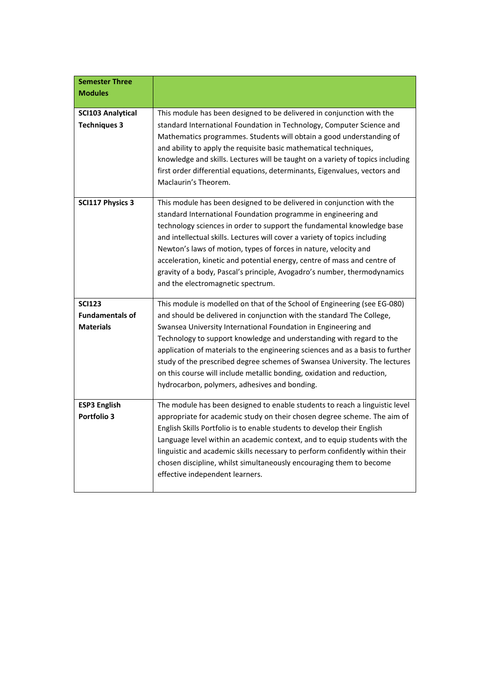| <b>Semester Three</b>                           |                                                                                                                                                                                                                                                                                                                                                                                                                                                                                                                                                                  |
|-------------------------------------------------|------------------------------------------------------------------------------------------------------------------------------------------------------------------------------------------------------------------------------------------------------------------------------------------------------------------------------------------------------------------------------------------------------------------------------------------------------------------------------------------------------------------------------------------------------------------|
| <b>Modules</b>                                  |                                                                                                                                                                                                                                                                                                                                                                                                                                                                                                                                                                  |
|                                                 |                                                                                                                                                                                                                                                                                                                                                                                                                                                                                                                                                                  |
| <b>SCI103 Analytical</b><br><b>Techniques 3</b> | This module has been designed to be delivered in conjunction with the<br>standard International Foundation in Technology, Computer Science and<br>Mathematics programmes. Students will obtain a good understanding of<br>and ability to apply the requisite basic mathematical techniques,<br>knowledge and skills. Lectures will be taught on a variety of topics including<br>first order differential equations, determinants, Eigenvalues, vectors and<br>Maclaurin's Theorem.                                                                              |
| <b>SCI117 Physics 3</b>                         | This module has been designed to be delivered in conjunction with the<br>standard International Foundation programme in engineering and<br>technology sciences in order to support the fundamental knowledge base<br>and intellectual skills. Lectures will cover a variety of topics including<br>Newton's laws of motion, types of forces in nature, velocity and<br>acceleration, kinetic and potential energy, centre of mass and centre of<br>gravity of a body, Pascal's principle, Avogadro's number, thermodynamics<br>and the electromagnetic spectrum. |
| <b>SCI123</b>                                   | This module is modelled on that of the School of Engineering (see EG-080)                                                                                                                                                                                                                                                                                                                                                                                                                                                                                        |
| <b>Fundamentals of</b>                          | and should be delivered in conjunction with the standard The College,                                                                                                                                                                                                                                                                                                                                                                                                                                                                                            |
| <b>Materials</b>                                | Swansea University International Foundation in Engineering and                                                                                                                                                                                                                                                                                                                                                                                                                                                                                                   |
|                                                 | Technology to support knowledge and understanding with regard to the<br>application of materials to the engineering sciences and as a basis to further<br>study of the prescribed degree schemes of Swansea University. The lectures                                                                                                                                                                                                                                                                                                                             |
|                                                 | on this course will include metallic bonding, oxidation and reduction,<br>hydrocarbon, polymers, adhesives and bonding.                                                                                                                                                                                                                                                                                                                                                                                                                                          |
| <b>ESP3 English</b>                             | The module has been designed to enable students to reach a linguistic level                                                                                                                                                                                                                                                                                                                                                                                                                                                                                      |
| Portfolio 3                                     | appropriate for academic study on their chosen degree scheme. The aim of<br>English Skills Portfolio is to enable students to develop their English<br>Language level within an academic context, and to equip students with the<br>linguistic and academic skills necessary to perform confidently within their                                                                                                                                                                                                                                                 |
|                                                 | chosen discipline, whilst simultaneously encouraging them to become<br>effective independent learners.                                                                                                                                                                                                                                                                                                                                                                                                                                                           |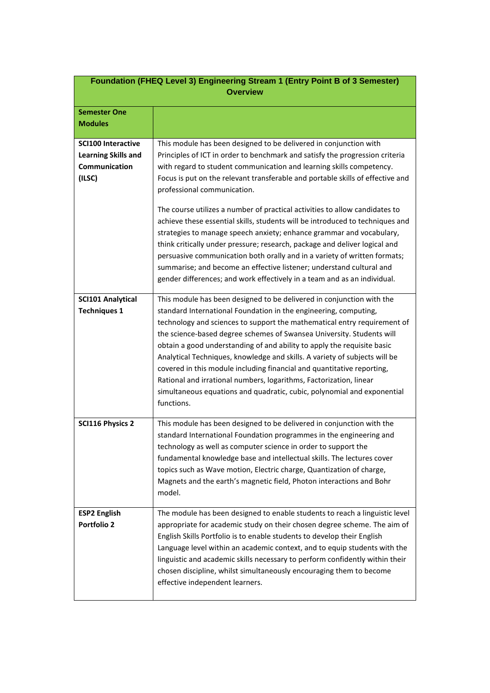|                                                                                    | Foundation (FHEQ Level 3) Engineering Stream 1 (Entry Point B of 3 Semester)<br><b>Overview</b>                                                                                                                                                                                                                                                                                                                                                                                                                                                                                                                                                                                                                                                                                                                                                                                                   |
|------------------------------------------------------------------------------------|---------------------------------------------------------------------------------------------------------------------------------------------------------------------------------------------------------------------------------------------------------------------------------------------------------------------------------------------------------------------------------------------------------------------------------------------------------------------------------------------------------------------------------------------------------------------------------------------------------------------------------------------------------------------------------------------------------------------------------------------------------------------------------------------------------------------------------------------------------------------------------------------------|
| <b>Semester One</b><br><b>Modules</b>                                              |                                                                                                                                                                                                                                                                                                                                                                                                                                                                                                                                                                                                                                                                                                                                                                                                                                                                                                   |
| <b>SCI100 Interactive</b><br><b>Learning Skills and</b><br>Communication<br>(ILSC) | This module has been designed to be delivered in conjunction with<br>Principles of ICT in order to benchmark and satisfy the progression criteria<br>with regard to student communication and learning skills competency.<br>Focus is put on the relevant transferable and portable skills of effective and<br>professional communication.<br>The course utilizes a number of practical activities to allow candidates to<br>achieve these essential skills, students will be introduced to techniques and<br>strategies to manage speech anxiety; enhance grammar and vocabulary,<br>think critically under pressure; research, package and deliver logical and<br>persuasive communication both orally and in a variety of written formats;<br>summarise; and become an effective listener; understand cultural and<br>gender differences; and work effectively in a team and as an individual. |
| <b>SCI101 Analytical</b><br><b>Techniques 1</b>                                    | This module has been designed to be delivered in conjunction with the<br>standard International Foundation in the engineering, computing,<br>technology and sciences to support the mathematical entry requirement of<br>the science-based degree schemes of Swansea University. Students will<br>obtain a good understanding of and ability to apply the requisite basic<br>Analytical Techniques, knowledge and skills. A variety of subjects will be<br>covered in this module including financial and quantitative reporting,<br>Rational and irrational numbers, logarithms, Factorization, linear<br>simultaneous equations and quadratic, cubic, polynomial and exponential<br>functions.                                                                                                                                                                                                  |
| <b>SCI116 Physics 2</b>                                                            | This module has been designed to be delivered in conjunction with the<br>standard International Foundation programmes in the engineering and<br>technology as well as computer science in order to support the<br>fundamental knowledge base and intellectual skills. The lectures cover<br>topics such as Wave motion, Electric charge, Quantization of charge,<br>Magnets and the earth's magnetic field, Photon interactions and Bohr<br>model.                                                                                                                                                                                                                                                                                                                                                                                                                                                |
| <b>ESP2 English</b><br><b>Portfolio 2</b>                                          | The module has been designed to enable students to reach a linguistic level<br>appropriate for academic study on their chosen degree scheme. The aim of<br>English Skills Portfolio is to enable students to develop their English<br>Language level within an academic context, and to equip students with the<br>linguistic and academic skills necessary to perform confidently within their<br>chosen discipline, whilst simultaneously encouraging them to become<br>effective independent learners.                                                                                                                                                                                                                                                                                                                                                                                         |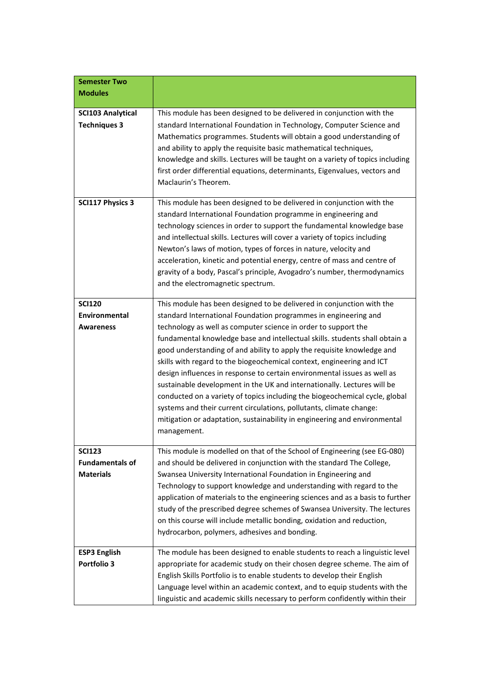| <b>Semester Two</b><br><b>Modules</b>                       |                                                                                                                                                                                                                                                                                                                                                                                                                                                                                                                                                                                                                                                                                                                                                                                                                                                       |
|-------------------------------------------------------------|-------------------------------------------------------------------------------------------------------------------------------------------------------------------------------------------------------------------------------------------------------------------------------------------------------------------------------------------------------------------------------------------------------------------------------------------------------------------------------------------------------------------------------------------------------------------------------------------------------------------------------------------------------------------------------------------------------------------------------------------------------------------------------------------------------------------------------------------------------|
| <b>SCI103 Analytical</b><br><b>Techniques 3</b>             | This module has been designed to be delivered in conjunction with the<br>standard International Foundation in Technology, Computer Science and<br>Mathematics programmes. Students will obtain a good understanding of<br>and ability to apply the requisite basic mathematical techniques,<br>knowledge and skills. Lectures will be taught on a variety of topics including<br>first order differential equations, determinants, Eigenvalues, vectors and<br>Maclaurin's Theorem.                                                                                                                                                                                                                                                                                                                                                                   |
| <b>SCI117 Physics 3</b>                                     | This module has been designed to be delivered in conjunction with the<br>standard International Foundation programme in engineering and<br>technology sciences in order to support the fundamental knowledge base<br>and intellectual skills. Lectures will cover a variety of topics including<br>Newton's laws of motion, types of forces in nature, velocity and<br>acceleration, kinetic and potential energy, centre of mass and centre of<br>gravity of a body, Pascal's principle, Avogadro's number, thermodynamics<br>and the electromagnetic spectrum.                                                                                                                                                                                                                                                                                      |
| <b>SCI120</b><br><b>Environmental</b><br>Awareness          | This module has been designed to be delivered in conjunction with the<br>standard International Foundation programmes in engineering and<br>technology as well as computer science in order to support the<br>fundamental knowledge base and intellectual skills. students shall obtain a<br>good understanding of and ability to apply the requisite knowledge and<br>skills with regard to the biogeochemical context, engineering and ICT<br>design influences in response to certain environmental issues as well as<br>sustainable development in the UK and internationally. Lectures will be<br>conducted on a variety of topics including the biogeochemical cycle, global<br>systems and their current circulations, pollutants, climate change:<br>mitigation or adaptation, sustainability in engineering and environmental<br>management. |
| <b>SCI123</b><br><b>Fundamentals of</b><br><b>Materials</b> | This module is modelled on that of the School of Engineering (see EG-080)<br>and should be delivered in conjunction with the standard The College,<br>Swansea University International Foundation in Engineering and<br>Technology to support knowledge and understanding with regard to the<br>application of materials to the engineering sciences and as a basis to further<br>study of the prescribed degree schemes of Swansea University. The lectures<br>on this course will include metallic bonding, oxidation and reduction,<br>hydrocarbon, polymers, adhesives and bonding.                                                                                                                                                                                                                                                               |
| <b>ESP3 English</b><br>Portfolio 3                          | The module has been designed to enable students to reach a linguistic level<br>appropriate for academic study on their chosen degree scheme. The aim of<br>English Skills Portfolio is to enable students to develop their English<br>Language level within an academic context, and to equip students with the<br>linguistic and academic skills necessary to perform confidently within their                                                                                                                                                                                                                                                                                                                                                                                                                                                       |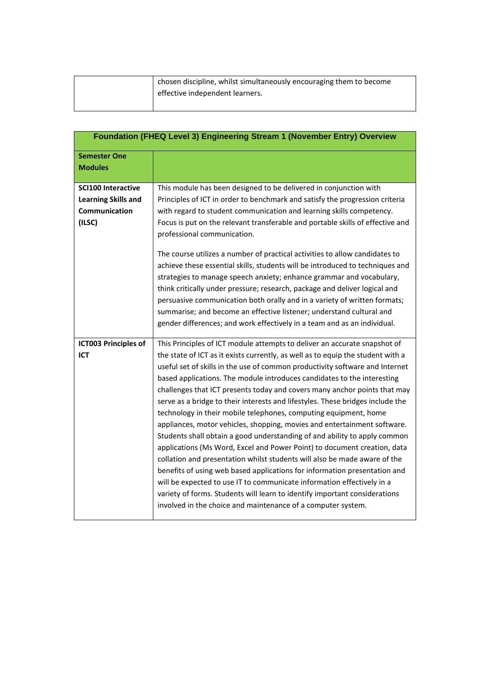| chosen discipline, whilst simultaneously encouraging them to become |
|---------------------------------------------------------------------|
| effective independent learners.                                     |
|                                                                     |

|                                                                                    | Foundation (FHEQ Level 3) Engineering Stream 1 (November Entry) Overview                                                                                                                                                                                                                                                                                                                                                                                                                                                                                                                                                                                                                                                                                                                                                                                                                                                                                                                                                                                                                                                                                                          |
|------------------------------------------------------------------------------------|-----------------------------------------------------------------------------------------------------------------------------------------------------------------------------------------------------------------------------------------------------------------------------------------------------------------------------------------------------------------------------------------------------------------------------------------------------------------------------------------------------------------------------------------------------------------------------------------------------------------------------------------------------------------------------------------------------------------------------------------------------------------------------------------------------------------------------------------------------------------------------------------------------------------------------------------------------------------------------------------------------------------------------------------------------------------------------------------------------------------------------------------------------------------------------------|
| <b>Semester One</b><br><b>Modules</b>                                              |                                                                                                                                                                                                                                                                                                                                                                                                                                                                                                                                                                                                                                                                                                                                                                                                                                                                                                                                                                                                                                                                                                                                                                                   |
| <b>SCI100 Interactive</b><br><b>Learning Skills and</b><br>Communication<br>(ILSC) | This module has been designed to be delivered in conjunction with<br>Principles of ICT in order to benchmark and satisfy the progression criteria<br>with regard to student communication and learning skills competency.<br>Focus is put on the relevant transferable and portable skills of effective and<br>professional communication.                                                                                                                                                                                                                                                                                                                                                                                                                                                                                                                                                                                                                                                                                                                                                                                                                                        |
|                                                                                    | The course utilizes a number of practical activities to allow candidates to<br>achieve these essential skills, students will be introduced to techniques and<br>strategies to manage speech anxiety; enhance grammar and vocabulary,<br>think critically under pressure; research, package and deliver logical and<br>persuasive communication both orally and in a variety of written formats;<br>summarise; and become an effective listener; understand cultural and<br>gender differences; and work effectively in a team and as an individual.                                                                                                                                                                                                                                                                                                                                                                                                                                                                                                                                                                                                                               |
| <b>ICT003 Principles of</b><br>ICT                                                 | This Principles of ICT module attempts to deliver an accurate snapshot of<br>the state of ICT as it exists currently, as well as to equip the student with a<br>useful set of skills in the use of common productivity software and Internet<br>based applications. The module introduces candidates to the interesting<br>challenges that ICT presents today and covers many anchor points that may<br>serve as a bridge to their interests and lifestyles. These bridges include the<br>technology in their mobile telephones, computing equipment, home<br>appliances, motor vehicles, shopping, movies and entertainment software.<br>Students shall obtain a good understanding of and ability to apply common<br>applications (Ms Word, Excel and Power Point) to document creation, data<br>collation and presentation whilst students will also be made aware of the<br>benefits of using web based applications for information presentation and<br>will be expected to use IT to communicate information effectively in a<br>variety of forms. Students will learn to identify important considerations<br>involved in the choice and maintenance of a computer system. |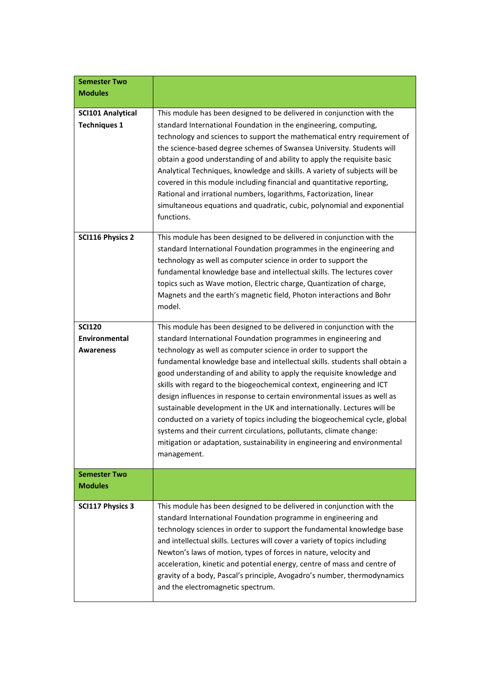| <b>Semester Two</b>                                       |                                                                                                                                                                                                                                                                                                                                                                                                                                                                                                                                                                                                                                                                                                                                                                                                                                                       |
|-----------------------------------------------------------|-------------------------------------------------------------------------------------------------------------------------------------------------------------------------------------------------------------------------------------------------------------------------------------------------------------------------------------------------------------------------------------------------------------------------------------------------------------------------------------------------------------------------------------------------------------------------------------------------------------------------------------------------------------------------------------------------------------------------------------------------------------------------------------------------------------------------------------------------------|
| <b>Modules</b>                                            |                                                                                                                                                                                                                                                                                                                                                                                                                                                                                                                                                                                                                                                                                                                                                                                                                                                       |
| <b>SCI101 Analytical</b><br><b>Techniques 1</b>           | This module has been designed to be delivered in conjunction with the<br>standard International Foundation in the engineering, computing,<br>technology and sciences to support the mathematical entry requirement of<br>the science-based degree schemes of Swansea University. Students will<br>obtain a good understanding of and ability to apply the requisite basic<br>Analytical Techniques, knowledge and skills. A variety of subjects will be<br>covered in this module including financial and quantitative reporting,<br>Rational and irrational numbers, logarithms, Factorization, linear<br>simultaneous equations and quadratic, cubic, polynomial and exponential<br>functions.                                                                                                                                                      |
| <b>SCI116 Physics 2</b>                                   | This module has been designed to be delivered in conjunction with the<br>standard International Foundation programmes in the engineering and<br>technology as well as computer science in order to support the<br>fundamental knowledge base and intellectual skills. The lectures cover<br>topics such as Wave motion, Electric charge, Quantization of charge,<br>Magnets and the earth's magnetic field, Photon interactions and Bohr<br>model.                                                                                                                                                                                                                                                                                                                                                                                                    |
| <b>SCI120</b><br><b>Environmental</b><br><b>Awareness</b> | This module has been designed to be delivered in conjunction with the<br>standard International Foundation programmes in engineering and<br>technology as well as computer science in order to support the<br>fundamental knowledge base and intellectual skills. students shall obtain a<br>good understanding of and ability to apply the requisite knowledge and<br>skills with regard to the biogeochemical context, engineering and ICT<br>design influences in response to certain environmental issues as well as<br>sustainable development in the UK and internationally. Lectures will be<br>conducted on a variety of topics including the biogeochemical cycle, global<br>systems and their current circulations, pollutants, climate change:<br>mitigation or adaptation, sustainability in engineering and environmental<br>management. |
| <b>Semester Two</b><br><b>Modules</b>                     |                                                                                                                                                                                                                                                                                                                                                                                                                                                                                                                                                                                                                                                                                                                                                                                                                                                       |
| <b>SCI117 Physics 3</b>                                   | This module has been designed to be delivered in conjunction with the<br>standard International Foundation programme in engineering and<br>technology sciences in order to support the fundamental knowledge base<br>and intellectual skills. Lectures will cover a variety of topics including<br>Newton's laws of motion, types of forces in nature, velocity and<br>acceleration, kinetic and potential energy, centre of mass and centre of<br>gravity of a body, Pascal's principle, Avogadro's number, thermodynamics<br>and the electromagnetic spectrum.                                                                                                                                                                                                                                                                                      |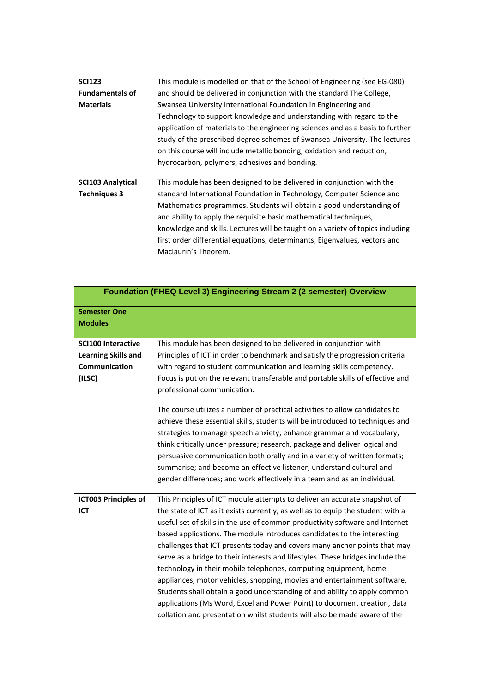| <b>SCI123</b>            | This module is modelled on that of the School of Engineering (see EG-080)      |
|--------------------------|--------------------------------------------------------------------------------|
| <b>Fundamentals of</b>   | and should be delivered in conjunction with the standard The College,          |
| <b>Materials</b>         | Swansea University International Foundation in Engineering and                 |
|                          | Technology to support knowledge and understanding with regard to the           |
|                          | application of materials to the engineering sciences and as a basis to further |
|                          | study of the prescribed degree schemes of Swansea University. The lectures     |
|                          | on this course will include metallic bonding, oxidation and reduction,         |
|                          | hydrocarbon, polymers, adhesives and bonding.                                  |
|                          |                                                                                |
|                          |                                                                                |
| <b>SCI103 Analytical</b> | This module has been designed to be delivered in conjunction with the          |
| <b>Techniques 3</b>      | standard International Foundation in Technology, Computer Science and          |
|                          | Mathematics programmes. Students will obtain a good understanding of           |
|                          | and ability to apply the requisite basic mathematical techniques,              |
|                          | knowledge and skills. Lectures will be taught on a variety of topics including |
|                          | first order differential equations, determinants, Eigenvalues, vectors and     |
|                          | Maclaurin's Theorem.                                                           |

|                             | Foundation (FHEQ Level 3) Engineering Stream 2 (2 semester) Overview            |
|-----------------------------|---------------------------------------------------------------------------------|
| <b>Semester One</b>         |                                                                                 |
| <b>Modules</b>              |                                                                                 |
|                             |                                                                                 |
| <b>SCI100 Interactive</b>   | This module has been designed to be delivered in conjunction with               |
| <b>Learning Skills and</b>  | Principles of ICT in order to benchmark and satisfy the progression criteria    |
| Communication               | with regard to student communication and learning skills competency.            |
| (ILSC)                      | Focus is put on the relevant transferable and portable skills of effective and  |
|                             | professional communication.                                                     |
|                             |                                                                                 |
|                             | The course utilizes a number of practical activities to allow candidates to     |
|                             | achieve these essential skills, students will be introduced to techniques and   |
|                             | strategies to manage speech anxiety; enhance grammar and vocabulary,            |
|                             | think critically under pressure; research, package and deliver logical and      |
|                             |                                                                                 |
|                             | persuasive communication both orally and in a variety of written formats;       |
|                             | summarise; and become an effective listener; understand cultural and            |
|                             | gender differences; and work effectively in a team and as an individual.        |
| <b>ICT003 Principles of</b> | This Principles of ICT module attempts to deliver an accurate snapshot of       |
| <b>ICT</b>                  | the state of ICT as it exists currently, as well as to equip the student with a |
|                             | useful set of skills in the use of common productivity software and Internet    |
|                             |                                                                                 |
|                             | based applications. The module introduces candidates to the interesting         |
|                             | challenges that ICT presents today and covers many anchor points that may       |
|                             | serve as a bridge to their interests and lifestyles. These bridges include the  |
|                             | technology in their mobile telephones, computing equipment, home                |
|                             | appliances, motor vehicles, shopping, movies and entertainment software.        |
|                             | Students shall obtain a good understanding of and ability to apply common       |
|                             | applications (Ms Word, Excel and Power Point) to document creation, data        |
|                             | collation and presentation whilst students will also be made aware of the       |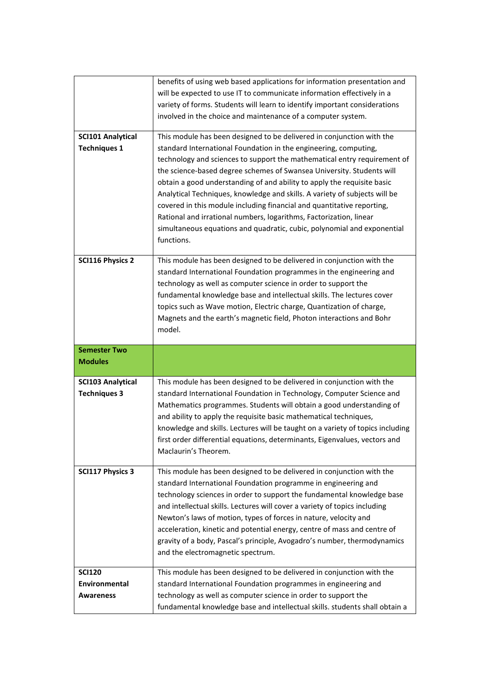|                          | benefits of using web based applications for information presentation and      |
|--------------------------|--------------------------------------------------------------------------------|
|                          | will be expected to use IT to communicate information effectively in a         |
|                          | variety of forms. Students will learn to identify important considerations     |
|                          | involved in the choice and maintenance of a computer system.                   |
| <b>SCI101 Analytical</b> | This module has been designed to be delivered in conjunction with the          |
| <b>Techniques 1</b>      | standard International Foundation in the engineering, computing,               |
|                          | technology and sciences to support the mathematical entry requirement of       |
|                          | the science-based degree schemes of Swansea University. Students will          |
|                          | obtain a good understanding of and ability to apply the requisite basic        |
|                          | Analytical Techniques, knowledge and skills. A variety of subjects will be     |
|                          | covered in this module including financial and quantitative reporting,         |
|                          | Rational and irrational numbers, logarithms, Factorization, linear             |
|                          | simultaneous equations and quadratic, cubic, polynomial and exponential        |
|                          | functions.                                                                     |
| <b>SCI116 Physics 2</b>  | This module has been designed to be delivered in conjunction with the          |
|                          | standard International Foundation programmes in the engineering and            |
|                          | technology as well as computer science in order to support the                 |
|                          | fundamental knowledge base and intellectual skills. The lectures cover         |
|                          | topics such as Wave motion, Electric charge, Quantization of charge,           |
|                          | Magnets and the earth's magnetic field, Photon interactions and Bohr           |
|                          | model.                                                                         |
|                          |                                                                                |
|                          |                                                                                |
| <b>Semester Two</b>      |                                                                                |
| <b>Modules</b>           |                                                                                |
| <b>SCI103 Analytical</b> | This module has been designed to be delivered in conjunction with the          |
| <b>Techniques 3</b>      | standard International Foundation in Technology, Computer Science and          |
|                          | Mathematics programmes. Students will obtain a good understanding of           |
|                          | and ability to apply the requisite basic mathematical techniques,              |
|                          | knowledge and skills. Lectures will be taught on a variety of topics including |
|                          | first order differential equations, determinants, Eigenvalues, vectors and     |
|                          | Maclaurin's Theorem.                                                           |
| <b>SCI117 Physics 3</b>  | This module has been designed to be delivered in conjunction with the          |
|                          | standard International Foundation programme in engineering and                 |
|                          | technology sciences in order to support the fundamental knowledge base         |
|                          | and intellectual skills. Lectures will cover a variety of topics including     |
|                          | Newton's laws of motion, types of forces in nature, velocity and               |
|                          | acceleration, kinetic and potential energy, centre of mass and centre of       |
|                          | gravity of a body, Pascal's principle, Avogadro's number, thermodynamics       |
|                          | and the electromagnetic spectrum.                                              |
| <b>SCI120</b>            | This module has been designed to be delivered in conjunction with the          |
| Environmental            | standard International Foundation programmes in engineering and                |
| <b>Awareness</b>         | technology as well as computer science in order to support the                 |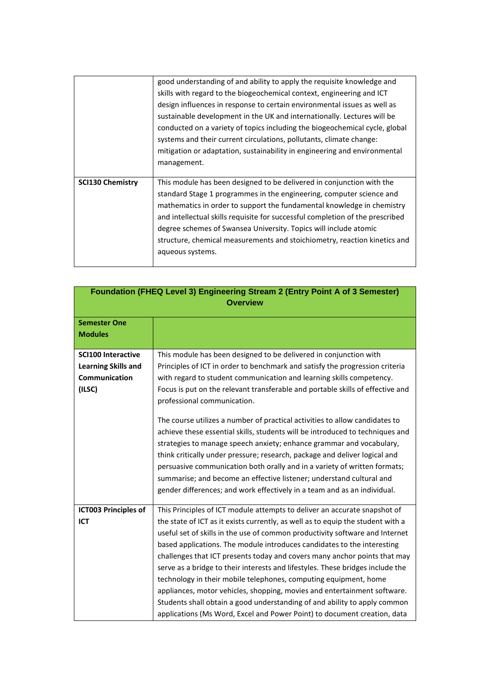|                         | good understanding of and ability to apply the requisite knowledge and<br>skills with regard to the biogeochemical context, engineering and ICT<br>design influences in response to certain environmental issues as well as<br>sustainable development in the UK and internationally. Lectures will be<br>conducted on a variety of topics including the biogeochemical cycle, global<br>systems and their current circulations, pollutants, climate change:<br>mitigation or adaptation, sustainability in engineering and environmental<br>management. |
|-------------------------|----------------------------------------------------------------------------------------------------------------------------------------------------------------------------------------------------------------------------------------------------------------------------------------------------------------------------------------------------------------------------------------------------------------------------------------------------------------------------------------------------------------------------------------------------------|
| <b>SCI130 Chemistry</b> | This module has been designed to be delivered in conjunction with the<br>standard Stage 1 programmes in the engineering, computer science and<br>mathematics in order to support the fundamental knowledge in chemistry<br>and intellectual skills requisite for successful completion of the prescribed<br>degree schemes of Swansea University. Topics will include atomic<br>structure, chemical measurements and stoichiometry, reaction kinetics and<br>aqueous systems.                                                                            |

| Foundation (FHEQ Level 3) Engineering Stream 2 (Entry Point A of 3 Semester) |                                                                                 |
|------------------------------------------------------------------------------|---------------------------------------------------------------------------------|
| <b>Overview</b>                                                              |                                                                                 |
|                                                                              |                                                                                 |
| <b>Semester One</b>                                                          |                                                                                 |
| <b>Modules</b>                                                               |                                                                                 |
| <b>SCI100 Interactive</b>                                                    | This module has been designed to be delivered in conjunction with               |
| <b>Learning Skills and</b>                                                   | Principles of ICT in order to benchmark and satisfy the progression criteria    |
| Communication                                                                | with regard to student communication and learning skills competency.            |
| (ILSC)                                                                       | Focus is put on the relevant transferable and portable skills of effective and  |
|                                                                              | professional communication.                                                     |
|                                                                              |                                                                                 |
|                                                                              | The course utilizes a number of practical activities to allow candidates to     |
|                                                                              | achieve these essential skills, students will be introduced to techniques and   |
|                                                                              | strategies to manage speech anxiety; enhance grammar and vocabulary,            |
|                                                                              | think critically under pressure; research, package and deliver logical and      |
|                                                                              | persuasive communication both orally and in a variety of written formats;       |
|                                                                              | summarise; and become an effective listener; understand cultural and            |
|                                                                              | gender differences; and work effectively in a team and as an individual.        |
|                                                                              |                                                                                 |
| <b>ICT003 Principles of</b>                                                  | This Principles of ICT module attempts to deliver an accurate snapshot of       |
| <b>ICT</b>                                                                   | the state of ICT as it exists currently, as well as to equip the student with a |
|                                                                              | useful set of skills in the use of common productivity software and Internet    |
|                                                                              | based applications. The module introduces candidates to the interesting         |
|                                                                              | challenges that ICT presents today and covers many anchor points that may       |
|                                                                              | serve as a bridge to their interests and lifestyles. These bridges include the  |
|                                                                              | technology in their mobile telephones, computing equipment, home                |
|                                                                              | appliances, motor vehicles, shopping, movies and entertainment software.        |
|                                                                              | Students shall obtain a good understanding of and ability to apply common       |
|                                                                              | applications (Ms Word, Excel and Power Point) to document creation, data        |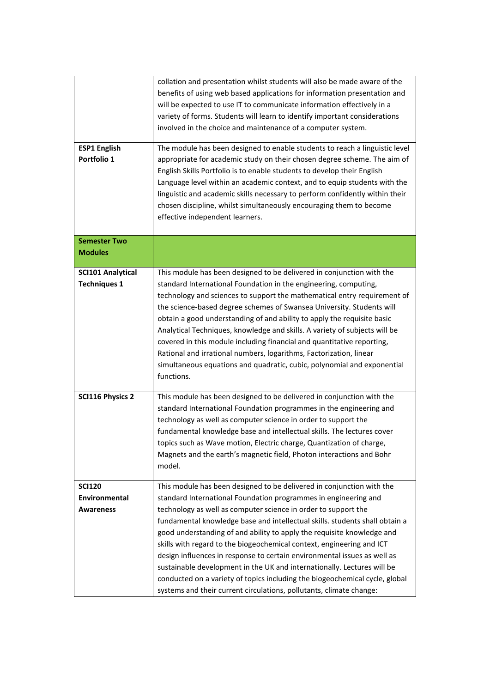|                                       | collation and presentation whilst students will also be made aware of the    |
|---------------------------------------|------------------------------------------------------------------------------|
|                                       | benefits of using web based applications for information presentation and    |
|                                       | will be expected to use IT to communicate information effectively in a       |
|                                       | variety of forms. Students will learn to identify important considerations   |
|                                       | involved in the choice and maintenance of a computer system.                 |
| <b>ESP1 English</b>                   | The module has been designed to enable students to reach a linguistic level  |
| Portfolio 1                           | appropriate for academic study on their chosen degree scheme. The aim of     |
|                                       | English Skills Portfolio is to enable students to develop their English      |
|                                       | Language level within an academic context, and to equip students with the    |
|                                       | linguistic and academic skills necessary to perform confidently within their |
|                                       | chosen discipline, whilst simultaneously encouraging them to become          |
|                                       | effective independent learners.                                              |
|                                       |                                                                              |
| <b>Semester Two</b><br><b>Modules</b> |                                                                              |
|                                       |                                                                              |
| <b>SCI101 Analytical</b>              | This module has been designed to be delivered in conjunction with the        |
| <b>Techniques 1</b>                   | standard International Foundation in the engineering, computing,             |
|                                       | technology and sciences to support the mathematical entry requirement of     |
|                                       | the science-based degree schemes of Swansea University. Students will        |
|                                       | obtain a good understanding of and ability to apply the requisite basic      |
|                                       | Analytical Techniques, knowledge and skills. A variety of subjects will be   |
|                                       | covered in this module including financial and quantitative reporting,       |
|                                       | Rational and irrational numbers, logarithms, Factorization, linear           |
|                                       | simultaneous equations and quadratic, cubic, polynomial and exponential      |
|                                       | functions.                                                                   |
| <b>SCI116 Physics 2</b>               | This module has been designed to be delivered in conjunction with the        |
|                                       | standard International Foundation programmes in the engineering and          |
|                                       | technology as well as computer science in order to support the               |
|                                       | fundamental knowledge base and intellectual skills. The lectures cover       |
|                                       | topics such as Wave motion, Electric charge, Quantization of charge,         |
|                                       | Magnets and the earth's magnetic field, Photon interactions and Bohr         |
|                                       | model.                                                                       |
| <b>SCI120</b>                         | This module has been designed to be delivered in conjunction with the        |
| <b>Environmental</b>                  | standard International Foundation programmes in engineering and              |
| <b>Awareness</b>                      | technology as well as computer science in order to support the               |
|                                       | fundamental knowledge base and intellectual skills. students shall obtain a  |
|                                       | good understanding of and ability to apply the requisite knowledge and       |
|                                       | skills with regard to the biogeochemical context, engineering and ICT        |
|                                       | design influences in response to certain environmental issues as well as     |
|                                       | sustainable development in the UK and internationally. Lectures will be      |
|                                       | conducted on a variety of topics including the biogeochemical cycle, global  |
|                                       | systems and their current circulations, pollutants, climate change:          |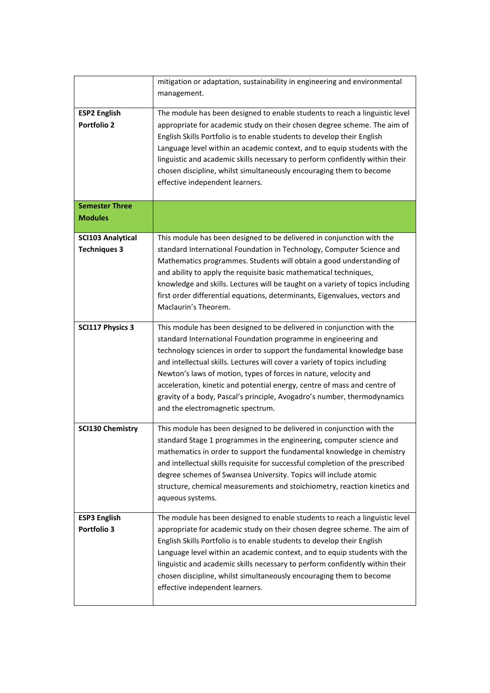|                                                 | mitigation or adaptation, sustainability in engineering and environmental<br>management.                                                                                                                                                                                                                                                                                                                                                                                                                                                                         |
|-------------------------------------------------|------------------------------------------------------------------------------------------------------------------------------------------------------------------------------------------------------------------------------------------------------------------------------------------------------------------------------------------------------------------------------------------------------------------------------------------------------------------------------------------------------------------------------------------------------------------|
| <b>ESP2 English</b><br><b>Portfolio 2</b>       | The module has been designed to enable students to reach a linguistic level<br>appropriate for academic study on their chosen degree scheme. The aim of<br>English Skills Portfolio is to enable students to develop their English<br>Language level within an academic context, and to equip students with the<br>linguistic and academic skills necessary to perform confidently within their<br>chosen discipline, whilst simultaneously encouraging them to become<br>effective independent learners.                                                        |
| <b>Semester Three</b><br><b>Modules</b>         |                                                                                                                                                                                                                                                                                                                                                                                                                                                                                                                                                                  |
| <b>SCI103 Analytical</b><br><b>Techniques 3</b> | This module has been designed to be delivered in conjunction with the<br>standard International Foundation in Technology, Computer Science and<br>Mathematics programmes. Students will obtain a good understanding of<br>and ability to apply the requisite basic mathematical techniques,<br>knowledge and skills. Lectures will be taught on a variety of topics including<br>first order differential equations, determinants, Eigenvalues, vectors and<br>Maclaurin's Theorem.                                                                              |
| <b>SCI117 Physics 3</b>                         | This module has been designed to be delivered in conjunction with the<br>standard International Foundation programme in engineering and<br>technology sciences in order to support the fundamental knowledge base<br>and intellectual skills. Lectures will cover a variety of topics including<br>Newton's laws of motion, types of forces in nature, velocity and<br>acceleration, kinetic and potential energy, centre of mass and centre of<br>gravity of a body, Pascal's principle, Avogadro's number, thermodynamics<br>and the electromagnetic spectrum. |
| <b>SCI130 Chemistry</b>                         | This module has been designed to be delivered in conjunction with the<br>standard Stage 1 programmes in the engineering, computer science and<br>mathematics in order to support the fundamental knowledge in chemistry<br>and intellectual skills requisite for successful completion of the prescribed<br>degree schemes of Swansea University. Topics will include atomic<br>structure, chemical measurements and stoichiometry, reaction kinetics and<br>aqueous systems.                                                                                    |
| <b>ESP3 English</b><br>Portfolio 3              | The module has been designed to enable students to reach a linguistic level<br>appropriate for academic study on their chosen degree scheme. The aim of<br>English Skills Portfolio is to enable students to develop their English<br>Language level within an academic context, and to equip students with the<br>linguistic and academic skills necessary to perform confidently within their<br>chosen discipline, whilst simultaneously encouraging them to become<br>effective independent learners.                                                        |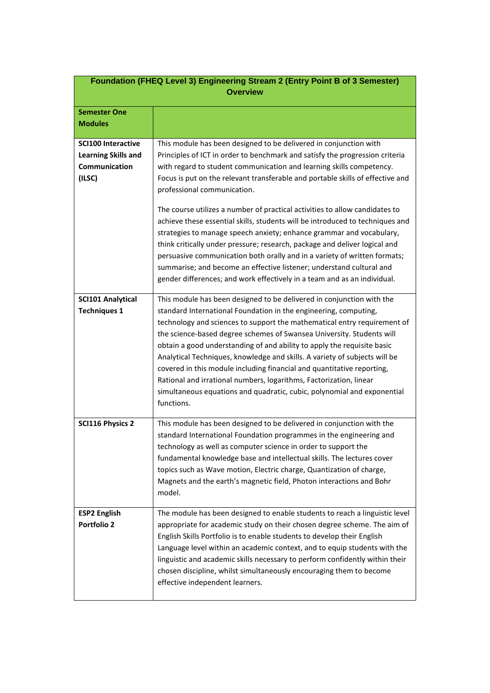| Foundation (FHEQ Level 3) Engineering Stream 2 (Entry Point B of 3 Semester)<br><b>Overview</b> |                                                                                                                                                                                                                                                                                                                                                                                                                                                                                                                                                                                                                                                                                                                                                                                                                                                                                                   |
|-------------------------------------------------------------------------------------------------|---------------------------------------------------------------------------------------------------------------------------------------------------------------------------------------------------------------------------------------------------------------------------------------------------------------------------------------------------------------------------------------------------------------------------------------------------------------------------------------------------------------------------------------------------------------------------------------------------------------------------------------------------------------------------------------------------------------------------------------------------------------------------------------------------------------------------------------------------------------------------------------------------|
| <b>Semester One</b><br><b>Modules</b>                                                           |                                                                                                                                                                                                                                                                                                                                                                                                                                                                                                                                                                                                                                                                                                                                                                                                                                                                                                   |
| <b>SCI100 Interactive</b><br><b>Learning Skills and</b><br>Communication<br>(ILSC)              | This module has been designed to be delivered in conjunction with<br>Principles of ICT in order to benchmark and satisfy the progression criteria<br>with regard to student communication and learning skills competency.<br>Focus is put on the relevant transferable and portable skills of effective and<br>professional communication.<br>The course utilizes a number of practical activities to allow candidates to<br>achieve these essential skills, students will be introduced to techniques and<br>strategies to manage speech anxiety; enhance grammar and vocabulary,<br>think critically under pressure; research, package and deliver logical and<br>persuasive communication both orally and in a variety of written formats;<br>summarise; and become an effective listener; understand cultural and<br>gender differences; and work effectively in a team and as an individual. |
| <b>SCI101 Analytical</b><br><b>Techniques 1</b>                                                 | This module has been designed to be delivered in conjunction with the<br>standard International Foundation in the engineering, computing,<br>technology and sciences to support the mathematical entry requirement of<br>the science-based degree schemes of Swansea University. Students will<br>obtain a good understanding of and ability to apply the requisite basic<br>Analytical Techniques, knowledge and skills. A variety of subjects will be<br>covered in this module including financial and quantitative reporting,<br>Rational and irrational numbers, logarithms, Factorization, linear<br>simultaneous equations and quadratic, cubic, polynomial and exponential<br>functions.                                                                                                                                                                                                  |
| <b>SCI116 Physics 2</b>                                                                         | This module has been designed to be delivered in conjunction with the<br>standard International Foundation programmes in the engineering and<br>technology as well as computer science in order to support the<br>fundamental knowledge base and intellectual skills. The lectures cover<br>topics such as Wave motion, Electric charge, Quantization of charge,<br>Magnets and the earth's magnetic field, Photon interactions and Bohr<br>model.                                                                                                                                                                                                                                                                                                                                                                                                                                                |
| <b>ESP2 English</b><br><b>Portfolio 2</b>                                                       | The module has been designed to enable students to reach a linguistic level<br>appropriate for academic study on their chosen degree scheme. The aim of<br>English Skills Portfolio is to enable students to develop their English<br>Language level within an academic context, and to equip students with the<br>linguistic and academic skills necessary to perform confidently within their<br>chosen discipline, whilst simultaneously encouraging them to become<br>effective independent learners.                                                                                                                                                                                                                                                                                                                                                                                         |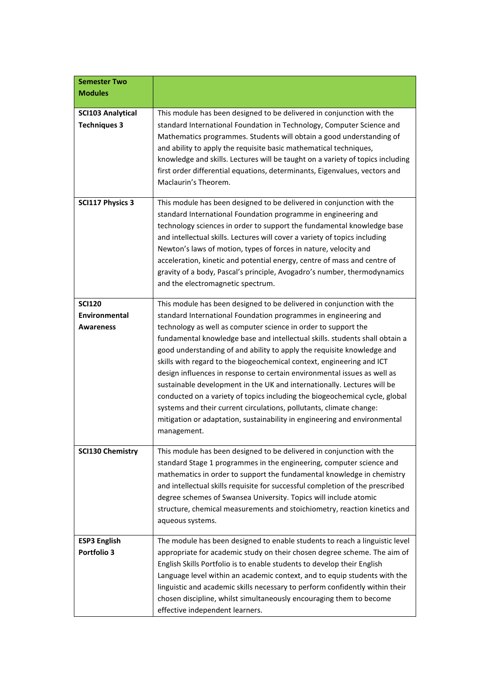| <b>Semester Two</b><br><b>Modules</b>              |                                                                                                                                                                                                                                                                                                                                                                                                                                                                                                                                                                                                                                                                                                                                                                                                                                                       |
|----------------------------------------------------|-------------------------------------------------------------------------------------------------------------------------------------------------------------------------------------------------------------------------------------------------------------------------------------------------------------------------------------------------------------------------------------------------------------------------------------------------------------------------------------------------------------------------------------------------------------------------------------------------------------------------------------------------------------------------------------------------------------------------------------------------------------------------------------------------------------------------------------------------------|
| <b>SCI103 Analytical</b><br><b>Techniques 3</b>    | This module has been designed to be delivered in conjunction with the<br>standard International Foundation in Technology, Computer Science and<br>Mathematics programmes. Students will obtain a good understanding of<br>and ability to apply the requisite basic mathematical techniques,<br>knowledge and skills. Lectures will be taught on a variety of topics including<br>first order differential equations, determinants, Eigenvalues, vectors and<br>Maclaurin's Theorem.                                                                                                                                                                                                                                                                                                                                                                   |
| <b>SCI117 Physics 3</b>                            | This module has been designed to be delivered in conjunction with the<br>standard International Foundation programme in engineering and<br>technology sciences in order to support the fundamental knowledge base<br>and intellectual skills. Lectures will cover a variety of topics including<br>Newton's laws of motion, types of forces in nature, velocity and<br>acceleration, kinetic and potential energy, centre of mass and centre of<br>gravity of a body, Pascal's principle, Avogadro's number, thermodynamics<br>and the electromagnetic spectrum.                                                                                                                                                                                                                                                                                      |
| <b>SCI120</b><br><b>Environmental</b><br>Awareness | This module has been designed to be delivered in conjunction with the<br>standard International Foundation programmes in engineering and<br>technology as well as computer science in order to support the<br>fundamental knowledge base and intellectual skills. students shall obtain a<br>good understanding of and ability to apply the requisite knowledge and<br>skills with regard to the biogeochemical context, engineering and ICT<br>design influences in response to certain environmental issues as well as<br>sustainable development in the UK and internationally. Lectures will be<br>conducted on a variety of topics including the biogeochemical cycle, global<br>systems and their current circulations, pollutants, climate change:<br>mitigation or adaptation, sustainability in engineering and environmental<br>management. |
| <b>SCI130 Chemistry</b>                            | This module has been designed to be delivered in conjunction with the<br>standard Stage 1 programmes in the engineering, computer science and<br>mathematics in order to support the fundamental knowledge in chemistry<br>and intellectual skills requisite for successful completion of the prescribed<br>degree schemes of Swansea University. Topics will include atomic<br>structure, chemical measurements and stoichiometry, reaction kinetics and<br>aqueous systems.                                                                                                                                                                                                                                                                                                                                                                         |
| <b>ESP3 English</b><br>Portfolio 3                 | The module has been designed to enable students to reach a linguistic level<br>appropriate for academic study on their chosen degree scheme. The aim of<br>English Skills Portfolio is to enable students to develop their English<br>Language level within an academic context, and to equip students with the<br>linguistic and academic skills necessary to perform confidently within their<br>chosen discipline, whilst simultaneously encouraging them to become<br>effective independent learners.                                                                                                                                                                                                                                                                                                                                             |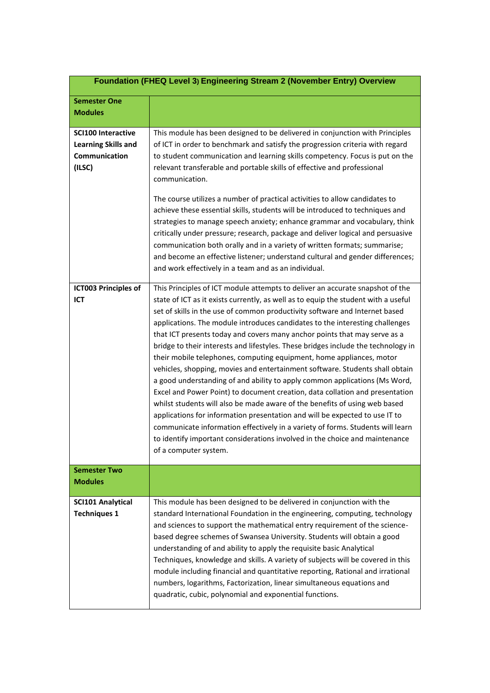|                                                                                    | Foundation (FHEQ Level 3) Engineering Stream 2 (November Entry) Overview                                                                                                                                                                                                                                                                                                                                                                                                                                                                                                                                                                                                                                                                                                                                                                                                                                                                                                                                                                                                                                                                                                          |
|------------------------------------------------------------------------------------|-----------------------------------------------------------------------------------------------------------------------------------------------------------------------------------------------------------------------------------------------------------------------------------------------------------------------------------------------------------------------------------------------------------------------------------------------------------------------------------------------------------------------------------------------------------------------------------------------------------------------------------------------------------------------------------------------------------------------------------------------------------------------------------------------------------------------------------------------------------------------------------------------------------------------------------------------------------------------------------------------------------------------------------------------------------------------------------------------------------------------------------------------------------------------------------|
| <b>Semester One</b><br><b>Modules</b>                                              |                                                                                                                                                                                                                                                                                                                                                                                                                                                                                                                                                                                                                                                                                                                                                                                                                                                                                                                                                                                                                                                                                                                                                                                   |
| <b>SCI100 Interactive</b><br><b>Learning Skills and</b><br>Communication<br>(ILSC) | This module has been designed to be delivered in conjunction with Principles<br>of ICT in order to benchmark and satisfy the progression criteria with regard<br>to student communication and learning skills competency. Focus is put on the<br>relevant transferable and portable skills of effective and professional<br>communication.                                                                                                                                                                                                                                                                                                                                                                                                                                                                                                                                                                                                                                                                                                                                                                                                                                        |
|                                                                                    | The course utilizes a number of practical activities to allow candidates to<br>achieve these essential skills, students will be introduced to techniques and<br>strategies to manage speech anxiety; enhance grammar and vocabulary, think<br>critically under pressure; research, package and deliver logical and persuasive<br>communication both orally and in a variety of written formats; summarise;<br>and become an effective listener; understand cultural and gender differences;<br>and work effectively in a team and as an individual.                                                                                                                                                                                                                                                                                                                                                                                                                                                                                                                                                                                                                               |
| <b>ICT003 Principles of</b><br>ICT                                                 | This Principles of ICT module attempts to deliver an accurate snapshot of the<br>state of ICT as it exists currently, as well as to equip the student with a useful<br>set of skills in the use of common productivity software and Internet based<br>applications. The module introduces candidates to the interesting challenges<br>that ICT presents today and covers many anchor points that may serve as a<br>bridge to their interests and lifestyles. These bridges include the technology in<br>their mobile telephones, computing equipment, home appliances, motor<br>vehicles, shopping, movies and entertainment software. Students shall obtain<br>a good understanding of and ability to apply common applications (Ms Word,<br>Excel and Power Point) to document creation, data collation and presentation<br>whilst students will also be made aware of the benefits of using web based<br>applications for information presentation and will be expected to use IT to<br>communicate information effectively in a variety of forms. Students will learn<br>to identify important considerations involved in the choice and maintenance<br>of a computer system. |
| <b>Semester Two</b><br>Modules                                                     |                                                                                                                                                                                                                                                                                                                                                                                                                                                                                                                                                                                                                                                                                                                                                                                                                                                                                                                                                                                                                                                                                                                                                                                   |
| <b>SCI101 Analytical</b><br><b>Techniques 1</b>                                    | This module has been designed to be delivered in conjunction with the<br>standard International Foundation in the engineering, computing, technology<br>and sciences to support the mathematical entry requirement of the science-<br>based degree schemes of Swansea University. Students will obtain a good<br>understanding of and ability to apply the requisite basic Analytical<br>Techniques, knowledge and skills. A variety of subjects will be covered in this<br>module including financial and quantitative reporting, Rational and irrational<br>numbers, logarithms, Factorization, linear simultaneous equations and<br>quadratic, cubic, polynomial and exponential functions.                                                                                                                                                                                                                                                                                                                                                                                                                                                                                    |